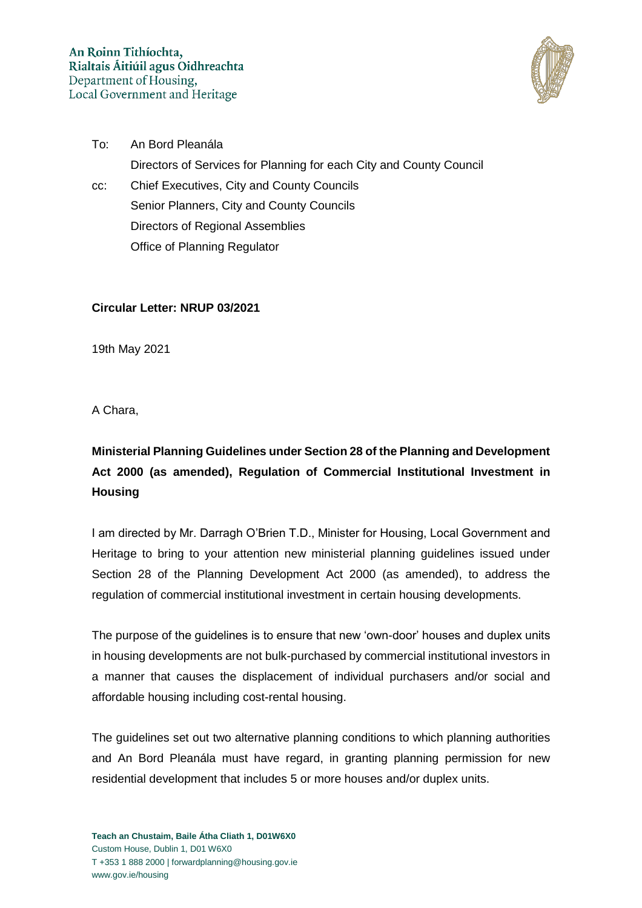

To: An Bord Pleanála Directors of Services for Planning for each City and County Council cc: Chief Executives, City and County Councils Senior Planners, City and County Councils Directors of Regional Assemblies Office of Planning Regulator

**Circular Letter: NRUP 03/2021** 

19th May 2021

A Chara,

## **Ministerial Planning Guidelines under Section 28 of the Planning and Development Act 2000 (as amended), Regulation of Commercial Institutional Investment in Housing**

I am directed by Mr. Darragh O'Brien T.D., Minister for Housing, Local Government and Heritage to bring to your attention new ministerial planning guidelines issued under Section 28 of the Planning Development Act 2000 (as amended), to address the regulation of commercial institutional investment in certain housing developments.

The purpose of the guidelines is to ensure that new 'own-door' houses and duplex units in housing developments are not bulk-purchased by commercial institutional investors in a manner that causes the displacement of individual purchasers and/or social and affordable housing including cost-rental housing.

The guidelines set out two alternative planning conditions to which planning authorities and An Bord Pleanála must have regard, in granting planning permission for new residential development that includes 5 or more houses and/or duplex units.